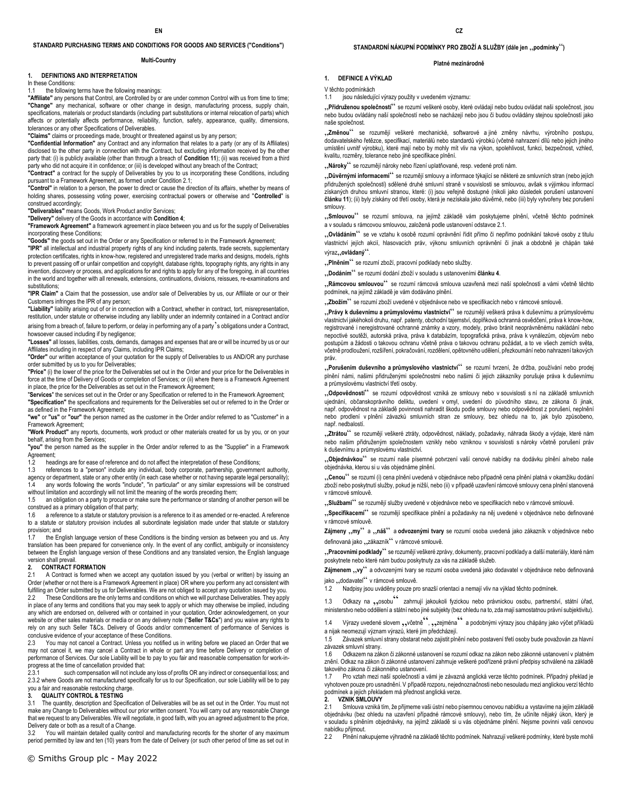### **STANDARD PURCHASING TERMS AND CONDITIONS FOR GOODS AND SERVICES ("Conditions")**

#### **Multi-Country**

## **1. DEFINITIONS AND INTERPRETATION**

In these Conditions:

## 1.1 the following terms have the following meanings:

**"Affiliate"** any persons that Control, are Controlled by or are under common Control with us from time to time; **"Change"** any mechanical, software or other change in design, manufacturing process, supply chain, specifications, materials or product standards (including part substitutions or internal relocation of parts) which affects or potentially affects performance, reliability, function, safety, appearance, quality, dimensions, tolerances or any other Specifications of Deliverables.

**"Claims"** claims or proceedings made, brought or threatened against us by any person;

**"Confidential Information"** any Contract and any information that relates to a party (or any of its Affiliates) disclosed to the other party in connection with the Contract, but excluding information received by the other party that: (i) is publicly available (other than through a breach of **Condition 11**); (ii) was received from a third party who did not acquire it in confidence; or (iii) is developed without any breach of the Contract;

**"Contract"** a contract for the supply of Deliverables by you to us incorporating these Conditions, including pursuant to a Framework Agreement, as formed under Condition 2.1;

**"Control"** in relation to a person, the power to direct or cause the direction of its affairs, whether by means of holding shares, possessing voting power, exercising contractual powers or otherwise and "**Controlled**" is construed accordingly;

**"Deliverables"** means Goods, Work Product and/or Services;

**"Delivery"** delivery of the Goods in accordance with **Condition 4**;

**"Framework Agreement"** a framework agreement in place between you and us for the supply of Deliverables incorporating these Conditions;

**"Goods"** the goods set out in the Order or any Specification or referred to in the Framework Agreement;

**"IPR"** all intellectual and industrial property rights of any kind including patents, trade secrets, supplementary protection certificates, rights in know-how, registered and unregistered trade marks and designs, models, rights to prevent passing off or unfair competition and copyright, database rights, topography rights, any rights in any invention, discovery or process, and applications for and rights to apply for any of the foregoing, in all countries in the world and together with all renewals, extensions, continuations, divisions, reissues, re-examinations and substitutions:

**"IPR Claim"** a Claim that the possession, use and/or sale of Deliverables by us, our Affiliate or our or their Customers infringes the IPR of any person;

**"Liability"** liability arising out of or in connection with a Contract, whether in contract, tort, misrepresentation, restitution, under statute or otherwise including any liability under an indemnity contained in a Contract and/or arising from a breach of, failure to perform, or delay in performing any of a party's obligations under a Contract,

howsoever caused including if by negligence; **"Losses"** all losses, liabilities, costs, demands, damages and expenses that are or will be incurred by us or our

Affiliates including in respect of any Claims, including IPR Claims;

**"Order"** our written acceptance of your quotation for the supply of Deliverables to us AND/OR any purchase order submitted by us to you for Deliverables;

**"Price"** (i) the lower of the price for the Deliverables set out in the Order and your price for the Deliverables in force at the time of Delivery of Goods or completion of Services; or (ii) where there is a Framework Agreement in place, the price for the Deliverables as set out in the Framework Agreement;

"**Services**" the services set out in the Order or any Specification or referred to in the Framework Agreement; **"Specification"** the specifications and requirements for the Deliverables set out or referred to in the Order or as defined in the Framework Agreement;

**"we"** or **"us"** or **"our"** the person named as the customer in the Order and/or referred to as "Customer" in a Framework Agreement;

**"Work Product"** any reports, documents, work product or other materials created for us by you, or on your behalf, arising from the Services;

**"you"** the person named as the supplier in the Order and/or referred to as the "Supplier" in a Framework Agreement;

1.2 headings are for ease of reference and do not affect the interpretation of these Conditions;

1.3 references to a "person" include any individual, body corporate, partnership, government authority, agency or department, state or any other entity (in each case whether or not having separate legal personality);

1.4 any words following the words "include", "in particular" or any similar expressions will be construed without limitation and accordingly will not limit the meaning of the words preceding them;

1.5 an obligation on a party to procure or make sure the performance or standing of another person will be construed as a primary obligation of that party;

1.6 a reference to a statute or statutory provision is a reference to it as amended or re-enacted. A reference to a statute or statutory provision includes all subordinate legislation made under that statute or statutory provision; and<br>17 the En

the English language version of these Conditions is the binding version as between you and us. Any translation has been prepared for convenience only. In the event of any conflict, ambiguity or inconsistency between the English language version of these Conditions and any translated version, the English language version shall prevail.

# **2. CONTRACT FORMATION**<br>2.1 A Contract is formed when

A Contract is formed when we accept any quotation issued by you (verbal or written) by issuing an Order (whether or not there is a Framework Agreement in place) OR where you perform any act consistent with fulfilling an Order submitted by us for Deliverables. We are not obliged to accept any quotation issued by you. 2.2 These Conditions are the only terms and conditions on which we will purchase Deliverables. They apply in place of any terms and conditions that you may seek to apply or which may otherwise be implied, including any which are endorsed on, delivered with or contained in your quotation, Order acknowledgement, on your website or other sales materials or media or on any delivery note ("**Seller T&Cs**") and you waive any rights to rely on any such Seller T&Cs. Delivery of Goods and/or commencement of performance of Services is conclusive evidence of your acceptance of these Conditions.

2.3 You may not cancel a Contract. Unless you notified us in writing before we placed an Order that we may not cancel it, we may cancel a Contract in whole or part any time before Delivery or completion of performance of Services. Our sole Liability will be to pay to you fair and reasonable compensation for work-inprogress at the time of cancellation provided that:<br>2.3.1 such compensation will not include

such compensation will not include any loss of profits OR any indirect or consequential loss; and 2.3.2 where Goods are not manufactured specifically for us to our Specification, our sole Liability will be to pay you a fair and reasonable restocking charge.

#### **3. QUALITY CONTROL & TESTING**

3.1 The quantity, description and Specification of Deliverables will be as set out in the Order. You must not make any Change to Deliverables without our prior written consent. You will carry out any reasonable Change that we request to any Deliverables. We will negotiate, in good faith, with you an agreed adjustment to the price, Delivery date or both as a result of a Change.

3.2 You will maintain detailed quality control and manufacturing records for the shorter of any maximum period permitted by law and ten (10) years from the date of Delivery (or such other period of time as set out in

### STANDARDNÍ NÁKUPNÍ PODMÍNKY PRO ZBOŽÍ A SLUŽBY (dále jen "podmínky")

#### **Platné mezinárodně**

#### **1. DEFINICE A VÝKLAD**

V těchto podmínkách

1.1 jsou následující výrazy použity v uvedeném významu:

"**Přidruženou společností**" se rozumí veškeré osoby, které ovládají nebo budou ovládat naši společnost, jsou nebo budou ovládány naší společností nebo se nacházejí nebo jsou či budou ovládány stejnou společností jako naše společnost.

"**Změnou**" se rozumějí veškeré mechanické, softwarové a jiné změny návrhu, výrobního postupu, dodavatelského řetězce, specifikací, materiálů nebo standardů výrobků (včetně nahrazení dílů nebo jejich jiného umístění uvnitř výrobku), které mají nebo by mohly mít vliv na výkon, spolehlivost, funkci, bezpečnost, vzhled, kvalitu, rozměry, tolerance nebo jiné specifikace plnění.

"Nároky" se rozumějí nároky nebo řízení uplatňované, resp. vedené proti nám.

"**Důvěrnými informacemi**" se rozumějí smlouvy a informace týkající se některé ze smluvních stran (nebo jejích přidružených společností) sdělené druhé smluvní straně v souvislosti se smlouvou, avšak s výjimkou informací získaných druhou smluvní stranou, které: (i) jsou veřejně dostupné (nikoli jako důsledek porušení ustanovení **článku 11**); (ii) byly získány od třetí osoby, která je nezískala jako důvěrné, nebo (iii) byly vytvořeny bez porušení smlouvy.

"**Smlouvou**" se rozumí smlouva, na jejímž základě vám poskytujeme plnění, včetně těchto podmínek a v souladu s rámcovou smlouvou, založená podle ustanovení odstavce 2.1.

"Ovládáním" se ve vztahu k osobě rozumí oprávnění řídit přímo či nepřímo podnikání takové osoby z titulu vlastnictví jejích akcií, hlasovacích práv, výkonu smluvních oprávnění či jinak a obdobně je chápán také výraz..ovládaný".

"Plněním" se rozumí zboží, pracovní podklady nebo služby.

"**Dodáním**" se rozumí dodání zboží v souladu s ustanoveními **článku 4**.

"**Rámcovou smlouvou**" se rozumí rámcová smlouva uzavřená mezi naší společností a vámi včetně těchto podmínek, na jejímž základě je vám dodáváno plnění.

"**Zbožím**" se rozumí zboží uvedené v objednávce nebo ve specifikacích nebo v rámcové smlouvě.

"**Právy k duševnímu a průmyslovému vlastnictví**" se rozumějí veškerá práva k duševnímu a průmyslovému vlastnictví jakéhokoli druhu, např. patenty, obchodní tajemství, doplňková ochranná osvědčení, práva k know-how, registrované i neregistrované ochranné známky a vzory, modely, právo bránit neoprávněnému nakládání nebo nepoctivé soutěži, autorská práva, práva k databázím, topografická práva, práva k vynálezům, objevům nebo postupům a žádosti o takovou ochranu včetně práva o takovou ochranu požádat, a to ve všech zemích světa, včetně prodloužení, rozšíření, pokračování, rozdělení, opětovného udělení, přezkoumání nebo nahrazení takových práv.

"**Porušením duševního a průmyslového vlastnictví**" se rozumí tvrzení, že držba, používání nebo prodej plnění námi, našimi přidruženými společnostmi nebo našimi či jejich zákazníky porušuje práva k duševnímu a průmyslovému vlastnictví třetí osoby.

"Odpovědností" se rozumí odpovědnost vzniká ze smlouvy nebo v souvislosti s ní na základě smluvních ujednání, občanskoprávního deliktu, uvedení v omyl, uvedení do původního stavu, ze zákona či jinak, např. odpovědnost na základě povinnosti nahradit škodu podle smlouvy nebo odpovědnost z porušení, neplnění nebo prodlení v plnění závazků smluvních stran ze smlouvy, bez ohledu na to, jak bylo způsobeno, např. nedbalostí.

"Ztrátou" se rozumějí veškeré ztráty, odpovědnost, náklady, požadavky, náhrada škody a výdaje, které nám nebo našim přidruženým společnostem vznikly nebo vzniknou v souvislosti s nároky včetně porušení práv k duševnímu a průmyslovému vlastnictví.

"**Objednávkou**" se rozumí naše písemné potvrzení vaší cenové nabídky na dodávku plnění a/nebo naše objednávka, kterou si u vás objednáme plnění.

"**Cenou**" se rozumí (i) cena plnění uvedená v objednávce nebo případně cena plnění platná v okamžiku dodání zboží nebo poskytnutí služby, pokud je nižší, nebo (ii) v případě uzavření rámcové smlouvy cena plnění stanovená v rámcové smlouvě.

"**Službami**" se rozumějí služby uvedené v objednávce nebo ve specifikacích nebo v rámcové smlouvě.

"**Specifikacemi**" se rozumějí specifikace plnění a požadavky na něj uvedené v objednávce nebo definované v rámcové smlouvě.

Zájmeny "my" a "náš" a odvozenými tvary se rozumí osoba uvedená jako zákazník v objednávce nebo definovaná jako "zákazník" v rámcové smlouvě.

"**Pracovními podklady**" se rozumějí veškeré zprávy, dokumenty, pracovní podklady a další materiály, které nám poskytnete nebo které nám budou poskytnuty za vás na základě služeb.

Zájmenem "vy" a odvozenými tvary se rozumí osoba uvedená jako dodavatel v objednávce nebo definovaná jako "dodavatel" v rámcové smlouvě.

1.2 Nadpisy jsou uváděny pouze pro snazší orientaci a nemají vliv na výklad těchto podmínek.

1.3 Odkazy na "osobu" zahrnují jakoukoli fyzickou nebo právnickou osobu, partnerství, státní úřad, ministerstvo nebo oddělení a státní nebo jiné subjekty (bez ohledu na to, zda mají samostatnou právní subjektivitu).

1.4 Výrazy uvedené slovem , včetně<sup>ce</sup>, , zejména<sup>ce</sup> a podobnými výrazy jsou chápány jako výčet příkladů a nijak neomezují význam výrazů, které jim předcházejí.

1.5 Závazek smluvní strany obstarat nebo zajistit plnění nebo postavení třetí osoby bude považován za hlavní závazek smluvní strany.

1.6 Odkazem na zákon či zákonné ustanovení se rozumí odkaz na zákon nebo zákonné ustanovení v platném znění. Odkaz na zákon či zákonné ustanovení zahrnuje veškeré podřízené právní předpisy schválené na základě takového zákona či zákonného ustanovení.<br>1.7 – Pro vztah mezi naší společností a v

Pro vztah mezi naší společností a vámi je závazná anglická verze těchto podmínek. Případný překlad je vyhotoven pouze pro usnadnění. V případě rozporu, nejednoznačnosti nebo nesouladu mezi anglickou verzí těchto podmínek a jejich překladem má přednost anglická verze.

#### **2. VZNIK SMLOUVY**

2.1 Smlouva vzniká tím, že přijmeme vaši ústní nebo písemnou cenovou nabídku a vystavíme na jejím základě objednávku (bez ohledu na uzavření případné rámcové smlouvy), nebo tím, že učiníte nějaký úkon, který je v souladu s plněním objednávky, na jejímž základě si u vás objednáme plnění. Nejsme povinni vaši cenovou nabídku přijmout.

2.2 Plnění nakupujeme výhradně na základě těchto podmínek. Nahrazují veškeré podmínky, které byste mohli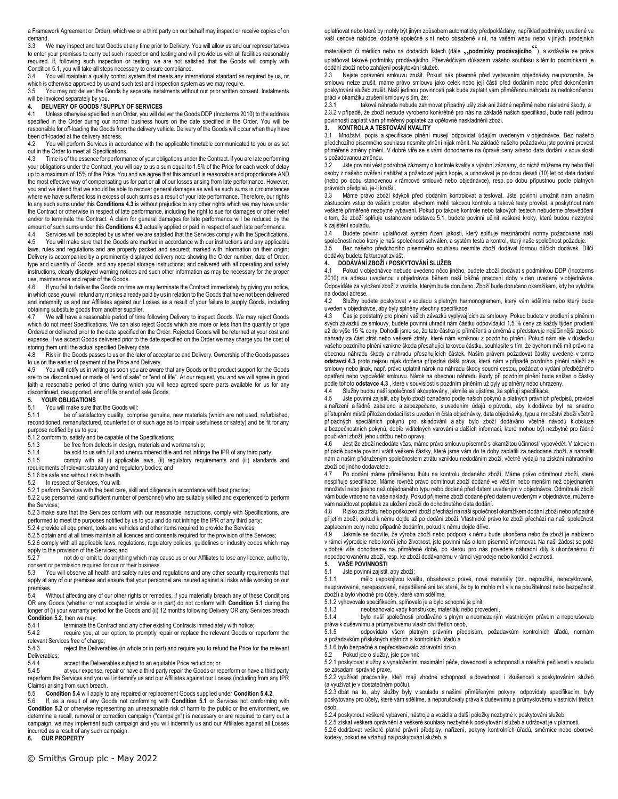a Framework Agreement or Order), which we or a third party on our behalf may inspect or receive copies of on demand.

3.3 We may inspect and test Goods at any time prior to Delivery. You will allow us and our representatives to enter your premises to carry out such inspection and testing and will provide us with all facilities reasonably required. If, following such inspection or testing, we are not satisfied that the Goods will comply with Condition 5.1, you will take all steps necessary to ensure compliance.

3.4 You will maintain a quality control system that meets any international standard as required by us, or which is otherwise approved by us and such test and inspection system as we may require.

3.5 You may not deliver the Goods by separate instalments without our prior written consent. Instalments will be invoiced separately by you.

# **4. DELIVERY OF GOODS / SUPPLY OF SERVICES**

Unless otherwise specified in an Order, you will deliver the Goods DDP (Incoterms 2010) to the address specified in the Order during our normal business hours on the date specified in the Order. You will be responsible for off-loading the Goods from the delivery vehicle. Delivery of the Goods will occur when they have been off-loaded at the delivery address.<br>4.2 You will perform Services in acc

You will perform Services in accordance with the applicable timetable communicated to you or as set out in the Order to meet all Specifications.

4.3 Time is of the essence for performance of your obligations under the Contract. If you are late performing your obligations under the Contract, you will pay to us a sum equal to 1.5% of the Price for each week of delay up to a maximum of 15% of the Price. You and we agree that this amount is reasonable and proportionate AND the most effective way of compensating us for part or all of our losses arising from late performance. However, you and we intend that we should be able to recover general damages as well as such sums in circumstances where we have suffered loss in excess of such sums as a result of your late performance. Therefore, our rights to any such sums under this **Conditions 4.3** is without prejudice to any other rights which we may have under the Contract or otherwise in respect of late performance, including the right to sue for damages or other relief and/or to terminate the Contract. A claim for general damages for late performance will be reduced by the amount of such sums under this **Conditions 4.3** actually applied or paid in respect of such late performance.

4.4 Services will be accepted by us when we are satisfied that the Services comply with the Specifications.<br>4.5 You will make sure that the Goods are marked in accordance with our instructions and any applicable You will make sure that the Goods are marked in accordance with our instructions and any applicable

laws, rules and regulations and are properly packed and secured; marked with information on their origin; Delivery is accompanied by a prominently displayed delivery note showing the Order number, date of Order, type and quantity of Goods, and any special storage instructions; and delivered with all operating and safety instructions, clearly displayed warning notices and such other information as may be necessary for the proper use, maintenance and repair of the Goods.<br>4.6 If you fail to deliver the Goods on tin

If you fail to deliver the Goods on time we may terminate the Contract immediately by giving you notice, in which case you will refund any monies already paid by us in relation to the Goods that have not been delivered and indemnify us and our Affiliates against our Losses as a result of your failure to supply Goods, including obtaining substitute goods from another supplier.<br>4.7 We will have a reasonable period of time

We will have a reasonable period of time following Delivery to inspect Goods. We may reject Goods which do not meet Specifications. We can also reject Goods which are more or less than the quantity or type Ordered or delivered prior to the date specified on the Order. Rejected Goods will be returned at your cost and expense. If we accept Goods delivered prior to the date specified on the Order we may charge you the cost of storing them until the actual specified Delivery date.

4.8 Risk in the Goods passes to us on the later of acceptance and Delivery. Ownership of the Goods passes to us on the earlier of payment of the Price and Delivery.<br>4.9 You will notify us in writing as soon you are aware

You will notify us in writing as soon you are aware that any Goods or the product support for the Goods are to be discontinued or made of "end of sale" or "end of life". At our request, you and we will agree in good faith a reasonable period of time during which you will keep agreed spare parts available for us for any discontinued, desupported, end of life or end of sale Goods.

## **5. YOUR OBLIGATIONS**

# 5.1 You will make sure that the Goods will:<br>5.1.1 be of satisfactory quality comp

be of satisfactory quality, comprise genuine, new materials (which are not used, refurbished, reconditioned, remanufactured, counterfeit or of such age as to impair usefulness or safety) and be fit for any purpose notified by us to you;

5.1.2 conform to, satisfy and be capable of the Specifications;<br>5.1.3 be free from defects in design, materials and w

- be free from defects in design, materials and workmanship;
- 5.1.4 be sold to us with full and unencumbered title and not infringe the IPR of any third party;<br>5.1.5 comply with all (i) applicable laws. (ii) requlatory requirements and (iii) standard

comply with all (i) applicable laws, (ii) regulatory requirements and (iii) standards and

requirements of relevant statutory and regulatory bodies; and

5.1.6 be safe and without risk to health.<br>5.2 In respect of Services You will:

In respect of Services, You will:

5.2.1 perform Services with the best care, skill and diligence in accordance with best practice;

5.2.2 use personnel (and sufficient number of personnel) who are suitably skilled and experienced to perform the Services;

5.2.3 make sure that the Services conform with our reasonable instructions, comply with Specifications, are performed to meet the purposes notified by us to you and do not infringe the IPR of any third party;

5.2.4 provide all equipment, tools and vehicles and other items required to provide the Services;

5.2.5 obtain and at all times maintain all licences and consents required for the provision of the Services; 5.2.6 comply with all applicable laws, regulations, regulatory policies, guidelines or industry codes which may

apply to the provision of the Services; and<br>5.2.7 post do or omit to do anything

not do or omit to do anything which may cause us or our Affiliates to lose any licence, authority, consent or permission required for our or their business.<br>5.3 You will observe all health and safety rules and

You will observe all health and safety rules and regulations and any other security requirements that apply at any of our premises and ensure that your personnel are insured against all risks while working on our premises.

5.4 Without affecting any of our other rights or remedies, if you materially breach any of these Conditions OR any Goods (whether or not accepted in whole or in part) do not conform with **Condition 5.1** during the longer of (i) your warranty period for the Goods and (ii) 12 months following Delivery OR any Services breach **Condition 5.2**, then we may:<br>5.4.1 terminate the

5.4.1 terminate the Contract and any other existing Contracts immediately with notice;<br>5.4.2 require vou, at our option, to promptly repair or replace the relevant Goods or

require you, at our option, to promptly repair or replace the relevant Goods or reperform the relevant Services free of charge;

5.4.3 reject the Deliverables (in whole or in part) and require you to refund the Price for the relevant Deliverables;<br>5.4.4

5.4.4 accept the Deliverables subject to an equitable Price reduction; or 5.4.5 at your expense, repair or have a third party repair the Goods or re

at your expense, repair or have a third party repair the Goods or reperform or have a third party reperform the Services and you will indemnify us and our Affiliates against our Losses (including from any IPR Claims) arising from such breach.<br>5.5 Condition 5.4 will annly to

5.5 **Condition 5.4** will apply to any repaired or replacement Goods supplied under **Condition 5.4.2.**

If, as a result of any Goods not conforming with **Condition 5.1** or Services not conforming with **Condition 5.2** or otherwise representing an unreasonable risk of harm to the public or the environment, we determine a recall, removal or correction campaign ("campaign") is necessary or are required to carry out a campaign, we may implement such campaign and you will indemnify us and our Affiliates against all Losses incurred as a result of any such campaign.

# **6. OUR PROPERTY**

uplatňovat nebo které by mohly být jiným způsobem automaticky předpokládány, například podmínky uvedené ve vaší cenové nabídce, dodané společně s ní nebo obsažené v ní, na vašem webu nebo v jiných prodejních

materiálech či médiích nebo na dodacích listech (dále "**podmínky prodávajícího**"), a vzdáváte se práva uplatňovat takové podmínky prodávajícího. Přesvědčivým důkazem vašeho souhlasu s těmito podmínkami je dodání zboží nebo zahájení poskytování služeb.

2.3 Nejste oprávněni smlouvu zrušit. Pokud nás písemně před vystavením objednávky neupozorníte, že smlouvu nelze zrušit, máme právo smlouvu jako celek nebo její části před dodáním nebo před dokončením poskytování služeb zrušit. Naší jedinou povinností pak bude zaplatit vám přiměřenou náhradu za nedokončenou práci v okamžiku zrušení smlouvy s tím, že:

2.3.1 taková náhrada nebude zahrnovat případný ušlý zisk ani žádné nepřímé nebo následné škody, a 2.3.2 v případě, že zboží nebude vyrobeno konkrétně pro nás na základě našich specifikací, bude naší jedinou povinností zaplatit vám přiměřený poplatek za opětovné naskladnění zboží.

# **3. KONTROLA A TESTOVÁNÍ KVALITY**

3.1 Množství, popis a specifikace plnění musejí odpovídat údajům uvedeným v objednávce. Bez našeho předchozího písemného souhlasu nesmíte plnění nijak měnit. Na základě našeho požadavku jste povinni provést přiměřené změny plnění. V dobré víře se s vámi dohodneme na úpravě ceny a/nebo data dodání v souvislosti s požadovanou změnou.

3.2 Jste povinni vést podrobné záznamy o kontrole kvality a výrobní záznamy, do nichž můžeme my nebo třetí osoby z našeho ověření nahlížet a požadovat jejich kopie, a uchovávat je po dobu deseti (10) let od data dodání (nebo po dobu stanovenou v rámcové smlouvě nebo objednávce), resp. po dobu přípustnou podle platných právních předpisů, je-li kratší.

3.3 Máme právo zboží kdykoli před dodáním kontrolovat a testovat. Jste povinni umožnit nám a našim zástupcům vstup do vašich prostor, abychom mohli takovou kontrolu a takové testy provést, a poskytnout nám veškeré přiměřeně nezbytné vybavení. Pokud po takové kontrole nebo takových testech nebudeme přesvědčeni o tom, že zboží splňuje ustanovení odstavce 5.1, budete povinni učinit veškeré kroky, které budou nezbytné k zajištění souladu.

3.4 Budete povinni uplatňovat systém řízení jakosti, který splňuje mezinárodní normy požadované naší společností nebo který je naší společnosti schválen, a systém testů a kontrol, který naše společnost požaduje<br>3.5. – Bez našeho předchozího písemného soublasu nesmíte zboží dodávat formou dílčích dodávek. F

Bez našeho předchozího písemného souhlasu nesmíte zboží dodávat formou dílčích dodávek. Dílčí dodávky budete fakturovat zvlášť.

#### **4. DODÁVÁNÍ ZBOŽÍ / POSKYTOVÁNÍ SLUŽEB**

4.1 Pokud v objednávce nebude uvedeno něco jiného, budete zboží dodávat s podmínkou DDP (Incoterms 2010) na adresu uvedenou v objednávce během naší běžné pracovní doby v den uvedený v objednávce. Odpovídáte za vyložení zboží z vozidla, kterým bude doručeno. Zboží bude doručeno okamžikem, kdy ho vyložíte na dodací adrese.<br>4.2 Služby bu

Služby budete poskytovat v souladu s platným harmonogramem, který vám sdělíme nebo který bude uveden v objednávce, aby byly splněny všechny specifikace.

4.3 Čas je podstatný pro plnění vašich závazků vyplývajících ze smlouvy. Pokud budete v prodlení s plněním svých závazků ze smlouvy, budete povinni uhradit nám částku odpovídající 1,5 % ceny za každý týden prodlení až do výše 15 % ceny. Dohodli jsme se, že tato částka je přiměřená a úměrná a představuje nejúčinnější způsob náhrady za část ztrát nebo veškeré ztráty, které nám vzniknou z pozdního plnění. Pokud nám ale v důsledku vašeho pozdního plnění vznikne škoda přesahující takovou částku, souhlasíte s tím, že bychom měli mít právo na obecnou náhradu škody a náhradu přesahujících částek. Naším právem požadovat částky uvedené v tomto **odstavci 4.3** proto nejsou nijak dotčena případná další práva, která nám v případě pozdního plnění náleží ze smlouvy nebo jinak, např. právo uplatnit nárok na náhradu škody soudní cestou, požádat o vydání předběžného opatření nebo vypovědět smlouvu. Nárok na obecnou náhradu škody při pozdním plnění bude snížen o částky podle tohoto **odstavce 4.3** , které v souvislosti s pozdním plněním už byly uplatněny nebo uhrazeny.

4.4 Služby budou naší společností akceptovány, jakmile se ujistíme, že splňují specifikace.

4.5 Jste povinni zajistit, aby bylo zboží označeno podle našich pokynů a platných právních předpisů, pravidel a nařízení a řádně zabaleno a zabezpečeno, s uvedením údajů o původu, aby k dodávce byl na snadno přístupném místě přiložen dodací list s uvedením čísla objednávky, data objednávky, typu a množství zboží včetně případných speciálních pokynů pro skladování a aby bylo zboží dodáváno včetně návodů k obsluze a bezpečnostních pokynů, dobře viditelných varování a dalších informací, které mohou být nezbytné pro řádné používání zboží, jeho údržbu nebo opravy.

4.6 Jestliže zboží nedodáte včas, máme právo smlouvu písemně s okamžitou účinností vypovědět. V takovém případě budete povinni vrátit veškeré částky, které jsme vám do té doby zaplatili za nedodané zboží, a nahradit nám a našim přidruženým společnostem ztrátu vzniklou nedodáním zboží, včetně výdajů na získání náhradního zboží od jiného dodavatele.

4.7 Po dodání máme přiměřenou lhůtu na kontrolu dodaného zboží. Máme právo odmítnout zboží, které nesplňuje specifikace. Máme rovněž právo odmítnout zboží dodané ve větším nebo menším než objednaném množství nebo jiného než objednaného typu nebo dodané před datem uvedeným v objednávce. Odmítnuté zboží vám bude vráceno na vaše náklady. Pokud přijmeme zboží dodané před datem uvedeným v objednávce, můžeme vám naúčtovat poplatek za uložení zboží do dohodnutého data dodání.

4.8 Riziko za ztrátu nebo poškození zboží přechází na naši společnost okamžikem dodání zboží nebo případně přijetím zboží, pokud k němu dojde až po dodání zboží. Vlastnické právo ke zboží přechází na naši společnost zaplacením ceny nebo případně dodáním, pokud k němu dojde dříve.

4.9 Jakmile se dozvíte, že výroba zboží nebo podpora k němu bude ukončena nebo že zboží je nabízeno v rámci výprodeje nebo končí jeho životnost, jste povinni nás o tom písemně informovat. Na naši žádost se poté v dobré víře dohodneme na přiměřené době, po kterou pro nás povedete náhradní díly k ukončenému či nepodporovanému zboží, resp. ke zboží dodávanému v rámci výprodeje nebo končící životnosti.<br>5. VAŠE POVINNOSTI

# **5. VAŠE POVINNOSTI**

# Jste povinni zajistit, aby zboží:

5.1.1 mělo uspokojivou kvalitu, obsahovalo pravé, nové materiály (tzn. nepoužité, nerecyklované, neupravované, nerepasované, nepadělané ani tak staré, že by to mohlo mít vliv na použitelnost nebo bezpečnost zboží) a bylo vhodné pro účely, které vám sdělíme,

5.1.2 vyhovovalo specifikacím, splňovalo je a bylo schopné je plnit,

5.1.3 neobsahovalo vady konstrukce, materiálu nebo provedení,<br>5.1.4 hylo naší společnosti prodáváno s plným a neomezeným

bylo naší společnosti prodáváno s plným a neomezeným vlastnickým právem a neporušovalo práva k duševnímu a průmyslovému vlastnictví třetích osob,<br>5.1.5. odnovídalo všem platným právním přec

5.1.5 odpovídalo všem platným právním předpisům, požadavkům kontrolních úřadů, normám a požadavkům příslušných státních a kontrolních úřadů a

5.1.6 bylo bezpečné a nepředstavovalo zdravotní riziko.

5.2 Pokud jde o služby, jste povinni:

5.2.1 poskytovat služby s vynaložením maximální péče, dovedností a schopností a náležité pečlivosti v souladu se zásadami správné praxe.

5.2.2 využívat pracovníky, kteří mají vhodné schopnosti a dovednosti i zkušenosti s poskytováním služeb (a využívat je v dostatečném počtu),

5.2.3 dbát na to, aby služby byly v souladu s našimi přiměřenými pokyny, odpovídaly specifikacím, byly poskytovány pro účely, které vám sdělíme, a neporušovaly práva k duševnímu a průmyslovému vlastnictví třetích osob,

5.2.4 poskytnout veškeré vybavení, nástroje a vozidla a další položky nezbytné k poskytování služeb,

5.2.5 získat veškerá oprávnění a veškeré souhlasy nezbytné k poskytování služeb a udržovat je v platnosti,

5.2.6 dodržovat veškeré platné právní předpisy, nařízení, pokyny kontrolních úřadů, směrnice nebo oborové kodexy, pokud se vztahují na poskytování služeb, a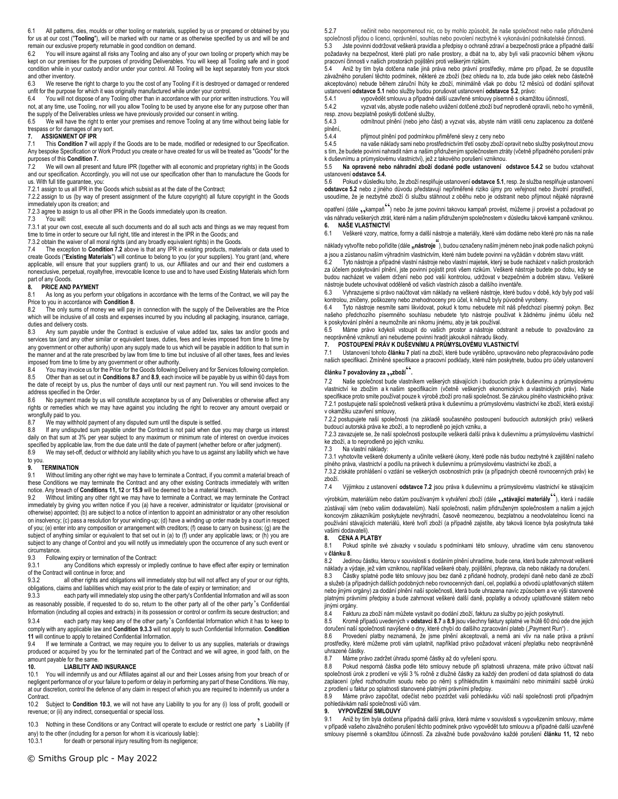6.1 All patterns, dies, moulds or other tooling or materials, supplied by us or prepared or obtained by you for us at our cost ("**Tooling**"), will be marked with our name or as otherwise specified by us and will be and remain our exclusive property returnable in good condition on demand.<br>6.2 You will insure against all risks any Tooling and also any of you

You will insure against all risks any Tooling and also any of your own tooling or property which may be kept on our premises for the purposes of providing Deliverables. You will keep all Tooling safe and in good condition while in your custody and/or under your control. All Tooling will be kept separately from your stock and other inventory.

6.3 We reserve the right to charge to you the cost of any Tooling if it is destroyed or damaged or rendered unfit for the purpose for which it was originally manufactured while under your control.<br>6.4 You will not dispose of any Tooling other than in accordance with our prior writ

You will not dispose of any Tooling other than in accordance with our prior written instructions. You will not, at any time, use Tooling, nor will you allow Tooling to be used by anyone else for any purpose other than the supply of the Deliverables unless we have previously provided our consent in writing.

6.5 We will have the right to enter your premises and remove Tooling at any time without being liable for trespass or for damages of any sort.<br>7. ASSIGNMENT OF IPR

# **7. ASSIGNMENT OF IPR**<br>**7.1** This **Condition 7** will

7.1 This **Condition 7** will apply if the Goods are to be made, modified or redesigned to our Specification. Any bespoke Specification or Work Product you create or have created for us will be treated as "Goods" for the purposes of this **Condition 7.**

7.2 We will own all present and future IPR (together with all economic and proprietary rights) in the Goods and our specification. Accordingly, you will not use our specification other than to manufacture the Goods for us. With full title guarantee, you:

7.2.1 assign to us all IPR in the Goods which subsist as at the date of the Contract;

7.2.2 assign to us (by way of present assignment of the future copyright) all future copyright in the Goods immediately upon its creation; and

7.2.3 agree to assign to us all other IPR in the Goods immediately upon its creation.

7.3 You will:

7.3.1 at your own cost, execute all such documents and do all such acts and things as we may request from time to time in order to secure our full right, title and interest in the IPR in the Goods; and

7.3.2 obtain the waiver of all moral rights (and any broadly equivalent rights) in the Goods.

7.4 The exception to **Condition 7.2** above is that any IPR in existing products, materials or data used to create Goods ("**Existing Materials**") will continue to belong to you (or your suppliers). You grant (and, where applicable, will ensure that your suppliers grant) to us, our Affiliates and our and their end customers a nonexclusive, perpetual, royaltyfree, irrevocable licence to use and to have used Existing Materials which form part of any Goods.

#### **8. PRICE AND PAYMENT**

8.1 As long as you perform your obligations in accordance with the terms of the Contract, we will pay the Price to you in accordance with **Condition 8**.

The only sums of money we will pay in connection with the supply of the Deliverables are the Price which will be inclusive of all costs and expenses incurred by you including all packaging, insurance, carriage, duties and delivery costs.

8.3 Any sum payable under the Contract is exclusive of value added tax, sales tax and/or goods and services tax (and any other similar or equivalent taxes, duties, fees and levies imposed from time to time by any government or other authority) upon any supply made to us which will be payable in addition to that sum in the manner and at the rate prescribed by law from time to time but inclusive of all other taxes, fees and levies imposed from time to time by any government or other authority.<br>8.4 You may invoice us for the Price for the Goods following I

You may invoice us for the Price for the Goods following Delivery and for Services following completion.

8.5 Other than as set out in **Conditions 8.7** and **8.9**, each invoice will be payable by us within 60 days from the date of receipt by us, plus the number of days until our next payment run. You will send invoices to the address specified in the Order.

8.6 No payment made by us will constitute acceptance by us of any Deliverables or otherwise affect any rights or remedies which we may have against you including the right to recover any amount overpaid or wrongfully paid to you.<br>8.7 We may withhout

We may withhold payment of any disputed sum until the dispute is settled.

8.8 If any undisputed sum payable under the Contract is not paid when due you may charge us interest daily on that sum at 3% per year subject to any maximum or minimum rate of interest on overdue invoices specified by applicable law, from the due date until the date of payment (whether before or after judgment).

8.9 We may set-off, deduct or withhold any liability which you have to us against any liability which we have to you.

#### **9. TERMINATION**

9.1 Without limiting any other right we may have to terminate a Contract, if you commit a material breach of these Conditions we may terminate the Contract and any other existing Contracts immediately with written notice. Any breach of **Conditions 11, 12** or **15.9** will be deemed to be a material breach.<br>9.2 Without limiting any other right we may have to terminate a Contract we may te

Without limiting any other right we may have to terminate a Contract, we may terminate the Contract immediately by giving you written notice if you (a) have a receiver, administrator or liquidator (provisional or otherwise) appointed; (b) are subject to a notice of intention to appoint an administrator or any other resolution on insolvency; (c) pass a resolution for your winding-up; (d) have a winding up order made by a court in respect of you; (e) enter into any composition or arrangement with creditors; (f) cease to carry on business; (g) are the subject of anything similar or equivalent to that set out in (a) to (f) under any applicable laws; or (h) you are subject to any change of Control and you will notify us immediately upon the occurrence of any such event or circumstance.<br>9.3 Follow

9.3 Following expiry or termination of the Contract:<br>9.3.1 any Conditions which expressly or implement

any Conditions which expressly or impliedly continue to have effect after expiry or termination of the Contract will continue in force; and<br>9.3.2 all other rights and obligat

all other rights and obligations will immediately stop but will not affect any of your or our rights, obligations, claims and liabilities which may exist prior to the date of expiry or termination; and

9.3.3 each party will immediately stop using the other party's Confidential Information and will as soon as reasonably possible, if requested to do so, return to the other party all of the other party's Confidential Information (including all copies and extracts) in its possession or control or confirm its secure destruction; and

9.3.4 each party may keep any of the other party's Confidential Information which it has to keep to comply with any applicable law and **Condition 9.3.3** will not apply to such Confidential Information. **Condition** 

**11** will continue to apply to retained Confidential Information.<br>9.4 If we terminate a Contract, we may require you to a If we terminate a Contract, we may require you to deliver to us any supplies, materials or drawings produced or acquired by you for the terminated part of the Contract and we will agree, in good faith, on the amount payable for the same.

# **10. LIABILITY AND INSURANCE**<br>10.1 You will indemnify us and our Affiliates

You will indemnify us and our Affiliates against all our and their Losses arising from your breach of or negligent performance of or your failure to perform or delay in performing any part of these Conditions. We may, at our discretion, control the defence of any claim in respect of which you are required to indemnify us under a Contract.

10.2 Subject to **Condition 10.3**, we will not have any Liability to you for any (i) loss of profit, goodwill or revenue; or (ii) any indirect, consequential or special loss.

10.3 Nothing in these Conditions or any Contract will operate to exclude or restrict one party s Liability (if any) to the other (including for a person for whom it is vicariously liable):<br>10.3.1 for death or personal iniury resulting from its negligence:

for death or personal injury resulting from its negligence;

5.2.7 nečinit nebo neopomenout nic, co by mohlo způsobit, že naše společnost nebo naše přidružené společnosti přijdou o licenci, oprávnění, souhlas nebo povolení nezbytné k vykonávání podnikatelské činnosti.

5.3 Jste povinni dodržovat veškerá pravidla a předpisy o ochraně zdraví a bezpečnosti práce a případné další požadavky na bezpečnost, které platí pro naše prostory, a dbát na to, aby byli vaši pracovníci během výkonu pracovní činnosti v našich prostorách pojištěni proti veškerým rizikům.

5.4 Aniž by tím byla dotčena naše jiná práva nebo právní prostředky, máme pro případ, že se dopustíte závažného porušení těchto podmínek, některé ze zboží (bez ohledu na to, zda bude jako celek nebo částečně akceptováno) nebude během záruční lhůty ke zboží, minimálně však po dobu 12 měsíců od dodání splňovat ustanovení **odstavce 5.1** nebo služby budou porušovat ustanovení **odstavce 5.2**, právo:

5.4.1 vypovědět smlouvu a případné další uzavřené smlouvy písemně s okamžitou účinností,<br>5.4.2 vyzvat vás, abyste podle našeho uvážení dotčené zboží buď neprodleně opravili, nebo h

vyzvat vás, abyste podle našeho uvážení dotčené zboží buď neprodleně opravili, nebo ho vyměnili,

resp. znovu bezplatně poskytli dotčené služby,<br>5.4.3 odmítnout plnění (nebo jeho ča odmítnout plnění (nebo jeho část) a vyzvat vás, abyste nám vrátili cenu zaplacenou za dotčené

plnění,<br>5.4.4 5.4.4 přijmout plnění pod podmínkou přiměřené slevy z ceny nebo

5.4.5 na vaše náklady sami nebo prostřednictvím třetí osoby zboží opravit nebo služby poskytnout znovu s tím, že budete povinni nahradit nám a našim přidruženým společnostem ztráty (včetně případného porušení práv k duševnímu a průmyslovému vlastnictví), jež z takového porušení vzniknou.

5.5 **Na opravené nebo náhradní zboží dodané podle ustanovení odstavce 5.4.2** se budou vztahovat ustanovení **odstavce 5.4.**<br>5.6. Pokud v důsledku t

5.6 Pokud v důsledku toho, že zboží nesplňuje ustanovení **odstavce 5.1**, resp. že služba nesplňuje ustanovení **odstavce 5.2** nebo z jiného důvodu představují nepřiměřené riziko újmy pro veřejnost nebo životní prostředí, usoudíme, že je nezbytné zboží či službu stáhnout z oběhu nebo je odstranit nebo přijmout nějaké nápravné

opatření (dále ,,kampaň ) nebo že jsme povinni takovou kampaň provést, můžeme ji provést a požadovat po vás náhradu veškerých ztrát, které nám a našim přidruženým společnostem v důsledku takové kampaně vzniknou. **6. NAŠE VLASTNICTVÍ**

6.1 Veškeré vzory, matrice, formy a další nástroje a materiály, které vám dodáme nebo které pro nás na naše

náklady vytvoříte nebo pořídíte (dále "nástroje<sup>"</sup>), budou označeny naším jménem nebo jinak podle našich pokynů

a jsou a zůstanou naším výhradním vlastnictvím, které nám budete povinni na vyžádán v dobrém stavu vrátit.<br>62. – Tyto nástroje a případné vlastní nástroje nebo vlastní majetek, který se bude nacházet v našich prostor Tyto nástroje a případné vlastní nástroje nebo vlastní majetek, který se bude nacházet v našich prostorách za účelem poskytování plnění, jste povinni pojistit proti všem rizikům. Veškeré nástroje budete po dobu, kdy se budou nacházet ve vašem držení nebo pod vaší kontrolou, udržovat v bezpečném a dobrém stavu. Veškeré nástroje budete uchovávat odděleně od vašich vlastních zásob a dalšího inventáře.

6.3 Vyhrazujeme si právo naúčtovat vám náklady na veškeré nástroje, které budou v době, kdy byly pod vaší kontrolou, zničeny, poškozeny nebo znehodnoceny pro účel, k němuž byly původně vyrobeny.

6.4 Tyto nástroje nesmíte sami likvidovat, pokud k tomu nebudete mít náš předchozí písemný pokyn. Bez našeho předchozího písemného souhlasu nebudete tyto nástroje používat k žádnému jinému účelu než k poskytování plnění a neumožníte ani nikomu jinému, aby je tak používal.

6.5 Máme právo kdykoli vstoupit do vašich prostor a nástroje odstranit a nebude to považováno za neoprávněné vzniknutí ani nebudeme povinni hradit jakoukoli náhradu škody.

# **7. POSTOUPENÍ PRÁV K DUŠEVNÍMU A PRŮMYSLOVÉMU VLASTNICTVÍ**

7.1 Ustanovení tohoto **článku 7** platí na zboží, které bude vyráběno, upravováno nebo přepracováváno podle našich specifikací. Zmíněné specifikace a pracovní podklady, které nám poskytnete, budou pro účely ustanovení

# **článku 7 považovány za** "**zboží**"**.**

7.2 Naše společnost bude vlastníkem veškerých stávajících i budoucích práv k duševnímu a průmyslovému vlastnictví ke zbožím a k našim specifikacím (včetně veškerých ekonomických a vlastnických práv). Naše specifikace proto smíte používat pouze k výrobě zboží pro naši společnost. Se zárukou plného vlastnického práva: 7.2.1 postupujete naší společnosti veškerá práva k duševnímu a průmyslovému vlastnictví ke zboží, která existují v okamžiku uzavření smlouvy,

7.2.2 postupujete naší společnosti (na základě současného postoupení budoucích autorských práv) veškerá budoucí autorská práva ke zboží, a to neprodleně po jejich vzniku, a

7.2.3 zavazujete se, že naší společnosti postoupíte veškerá další práva k duševnímu a průmyslovému vlastnictví ke zboží, a to neprodleně po jejich vzniku.

7.3 Na vlastní náklady:

7.3.1 vyhotovíte veškeré dokumenty a učiníte veškeré úkony, které podle nás budou nezbytné k zajištění našeho plného práva, vlastnictví a podílu na právech k duševnímu a průmyslovému vlastnictví ke zboží, a<br>7.3.2 získáte prohlášení o vzdání se veškerých osobnostních práv (a případných obecně rovnocenných práv) ke

zboží.

7.4 Výjimkou z ustanovení **odstavce 7.2** jsou práva k duševnímu a průmyslovému vlastnictví ke stávajícím

výrobkům, materiálům nebo datům používaným k vytváření zboží (dále **,,stávající materiály** ,, která i nadále zůstávají vám (nebo vašim dodavatelům). Naší společnosti, našim přidruženým společnostem a našim a jejich koncovým zákazníkům poskytujete nevýhradní, časově neomezenou, bezplatnou a neodvolatelnou licenci na používání stávajících materiálů, které tvoří zboží (a případně zajistíte, aby taková licence byla poskytnuta také

# vašimi dodavateli)<br>8. CENA A PL **8. CENA A PLATBY**

Pokud splníte své závazky v souladu s podmínkami této smlouvy, uhradíme vám cenu stanovenou v **článku 8**.

8.2 Jedinou částku, kterou v souvislosti s dodáním plnění uhradíme, bude cena, která bude zahrnovat veškeré náklady a výdaje, jež vám vzniknou, například veškeré obaly, pojištění, přeprava, cla nebo náklady na doručení.<br>8 3 – Částky splatné podle této smlouvy isou bez daně z přidané bodnoty, prodejní daně nebo daně ze zbož

8.3 Částky splatné podle této smlouvy jsou bez daně z přidané hodnoty, prodejní daně nebo daně ze zboží a služeb (a případných dalších podobných nebo rovnocenných daní, cel, poplatků a odvodů uplatňovaných státem nebo jinými orgány) za dodání plnění naší společnosti, která bude uhrazena navíc způsobem a ve výši stanovené platnými právními předpisy a bude zahrnovat veškeré další daně, poplatky a odvody uplatňované státem nebo jinými orgány.

8.4 Fakturu za zboží nám můžete vystavit po dodání zboží, fakturu za služby po jejich poskytnutí.

8.5 Kromě případů uvedených v **odstavci 8.7** a **8.9** jsou všechny faktury splatné ve lhůtě 60 dnů ode dne jejich doručení naší společnosti navýšené o dny, které chybí do dalšího zpracování plateb ("Payment Run") .<br>86 – Provedení platby neznamená že isme plnění akceptovali a nemá ani vliv na naše práv

8.6 Provedení platby neznamená, že jsme plnění akceptovali, a nemá ani vliv na naše práva a právní prostředky, které můžeme proti vám uplatnit, například právo požadovat vrácení přeplatku nebo neoprávněně uhrazené částky.

8.7 Máme právo zadržet úhradu sporné částky až do vyřešení sporu.

8.8 Pokud nesporná částka podle této smlouvy nebude při splatnosti uhrazena, máte právo účtovat naší společnosti úrok z prodlení ve výši 3 % ročně z dlužné částky za každý den prodlení od data splatnosti do data zaplacení (před rozhodnutím soudu nebo po něm) s přihlédnutím k maximální nebo minimální sazbě úroků z prodlení u faktur po splatnosti stanovené platnými právními předpisy.

8.9 Máme právo započítat, odečíst nebo pozdržet vaši pohledávku vůči naší společnosti proti případným pohledávkám naší společnosti vůči vám.

# **9. VYPOVĚZENÍ SMLOUVY**

9.1 Aniž by tím byla dotčena případná další práva, která máme v souvislosti s vypovězením smlouvy, máme v případě vašeho závažného porušení těchto podmínek právo vypovědět tuto smlouvu a případné další uzavřené smlouvy písemně s okamžitou účinností. Za závažné bude považováno každé porušení **článku 11, 12** nebo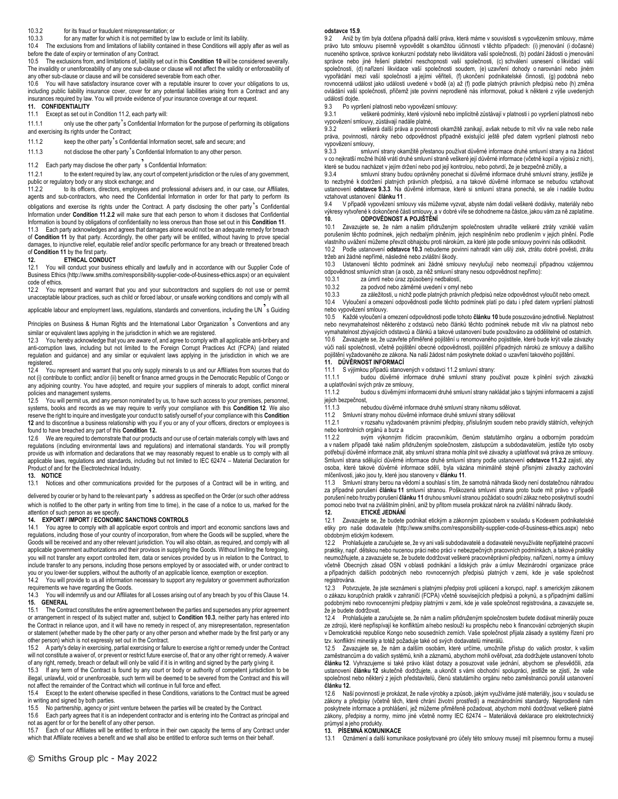### 10.3.2 for its fraud or fraudulent misrepresentation; or

10.3.3 for any matter for which it is not permitted by law to exclude or limit its liability.

10.4 The exclusions from and limitations of liability contained in these Conditions will apply after as well as before the date of expiry or termination of any Contract.

10.5 The exclusions from, and limitations of, liability set out in this **Condition 10** will be considered severally. The invalidity or unenforceability of any one sub-clause or clause will not affect the validity or enforceability of any other sub-clause or clause and will be considered severable from each other.

10.6 You will have satisfactory insurance cover with a reputable insurer to cover your obligations to us, including public liability insurance cover, cover for any potential liabilities arising from a Contract and any insurances required by law. You will provide evidence of your insurance coverage at our request.

# **11. CONFIDENTIALITY**

## 11.1 Except as set out in Condition 11.2, each party will:

11.1.1 only use the other party's Confidential Information for the purpose of performing its obligations and exercising its rights under the Contract;

11.1.2 keep the other party's Confidential Information secret, safe and secure; and

11.1.3 not disclose the other party's Confidential Information to any other person.

11.2 Each party may disclose the other party<sup>3</sup>s Confidential Information:<br>11.2.1 to the extent required by law, any court of competent iurisdictions

to the extent required by law, any court of competent jurisdiction or the rules of any government, public or regulatory body or any stock exchange; and<br>11.2.2 to its officers, directors, employees an

to its officers, directors, employees and professional advisers and, in our case, our Affiliates, agents and sub-contractors, who need the Confidential Information in order for that party to perform its obligations and exercise its rights under the Contract. A party disclosing the other party's Confidential Information under **Condition 11.2.2** will make sure that each person to whom it discloses that Confidential Information is bound by obligations of confidentiality no less onerous than those set out in this **Condition 11**.

11.3 Each party acknowledges and agrees that damages alone would not be an adequate remedy for breach of **Condition 11** by that party. Accordingly, the other party will be entitled, without having to prove special damages, to injunctive relief, equitable relief and/or specific performance for any breach or threatened breach

#### of **Condition 11** by the first party<br>**12.** ETHICAL CONDI **12. ETHICAL CONDUCT**

12.1 You will conduct your business ethically and lawfully and in accordance with our Supplier Code of Business Ethics (http://www.smiths.com/responsibility-supplier-code-of-business-ethics.aspx) or an equivalent code of ethics.

12.2 You represent and warrant that you and your subcontractors and suppliers do not use or permit unacceptable labour practices, such as child or forced labour, or unsafe working conditions and comply with all

applicable labour and employment laws, regulations, standards and conventions, including the UN<sup>2</sup>s Guiding

Principles on Business & Human Rights and the International Labor Organization<sup>7</sup>s Conventions and any similar or equivalent laws applying in the jurisdiction in which we are registered.

12.3 You hereby acknowledge that you are aware of, and agree to comply with all applicable anti-bribery and anti-corruption laws, including but not limited to the Foreign Corrupt Practices Act (FCPA) (and related regulation and guidance) and any similar or equivalent laws applying in the jurisdiction in which we are registered.

12.4 You represent and warrant that you only supply minerals to us and our Affiliates from sources that do not (i) contribute to conflict; and/or (ii) benefit or finance armed groups in the Democratic Republic of Congo or any adjoining country. You have adopted, and require your suppliers of minerals to adopt, conflict mineral policies and management systems.

12.5 You will permit us, and any person nominated by us, to have such access to your premises, personnel, systems, books and records as we may require to verify your compliance with this **Condition 12**. We also reserve the right to inquire and investigate your conduct to satisfy ourself of your compliance with this **Condition 12** and to discontinue a business relationship with you if you or any of your officers, directors or employees is found to have breached any part of this **Condition 12.** 

12.6 We are required to demonstrate that our products and our use of certain materials comply with laws and regulations (including environmental laws and regulations) and international standards. You will promptly provide us with information and declarations that we may reasonably request to enable us to comply with all applicable laws, regulations and standards, including but not limited to IEC 62474 – Material Declaration for Product of and for the Electrotechnical Industry.

## **13. NOTICE**

13.1 Notices and other communications provided for the purposes of a Contract will be in writing, and

delivered by courier or by hand to the relevant party's address as specified on the Order (or such other address which is notified to the other party in writing from time to time), in the case of a notice to us, marked for the attention of such person as we specify.

# **14. EXPORT / IMPORT / ECONOMIC SANCTIONS CONTROLS**

You agree to comply with all applicable export controls and import and economic sanctions laws and regulations, including those of your country of incorporation, from where the Goods will be supplied, where the Goods will be received and any other relevant jurisdiction. You will also obtain, as required, and comply with all applicable government authorizations and their provisos in supplying the Goods. Without limiting the foregoing, you will not transfer any export controlled item, data or services provided by us in relation to the Contract, to include transfer to any persons, including those persons employed by or associated with, or under contract to you or you lower-tier suppliers, without the authority of an applicable licence, exemption or exception.<br>14.2 You will provide to us all information necessary to support any regulatory or government auth

You will provide to us all information necessary to support any regulatory or government authorization requirements we have regarding the Goods.

14.3 You will indemnify us and our Affiliates for all Losses arising out of any breach by you of this Clause 14. **15. GENERAL**

15.1 The Contract constitutes the entire agreement between the parties and supersedes any prior agreement or arrangement in respect of its subject matter and, subject to **Condition 10.3**, neither party has entered into the Contract in reliance upon, and it will have no remedy in respect of, any misrepresentation, representation or statement (whether made by the other party or any other person and whether made by the first party or any other person) which is not expressly set out in the Contract.<br>15.2 A party's delay in exercising partial exercising or fail

15.2 A party's delay in exercising, partial exercising or failure to exercise a right or remedy under the Contract will not constitute a waiver of, or prevent or restrict future exercise of, that or any other right or remedy. A waiver of any right, remedy, breach or default will only be valid if it is in writing and signed by the party giving it.

15.3 If any term of the Contract is found by any court or body or authority of competent jurisdiction to be illegal, unlawful, void or unenforceable, such term will be deemed to be severed from the Contract and this will not affect the remainder of the Contract which will continue in full force and effect.

15.4 Except to the extent otherwise specified in these Conditions, variations to the Contract must be agreed in writing and signed by both parties.

15.5 No partnership, agency or joint venture between the parties will be created by the Contract.

15.6 Each party agrees that it is an independent contractor and is entering into the Contract as principal and not as agent for or for the benefit of any other person.

15.7 Each of our Affiliates will be entitled to enforce in their own capacity the terms of any Contract under which that Affiliate receives a benefit and we shall also be entitled to enforce such terms on their behalf.

#### **odstavce 15.9**.

9.2 Aniž by tím byla dotčena případná další práva, která máme v souvislosti s vypovězením smlouvy, máme právo tuto smlouvu písemně vypovědět s okamžitou účinností v těchto případech: (i) jmenování (i dočasné) nuceného správce, správce konkurzní podstaty nebo likvidátora vaší společnosti, (b) podání žádosti o jmenování správce nebo jiné řešení platební neschopnosti vaší společnosti, (c) schválení usnesení o likvidaci vaší společnosti, (d) nařízení likvidace vaší společnosti soudem, (e) uzavření dohody o narovnání nebo jiném vypořádání mezi vaší společností a jejími věřiteli, (f) ukončení podnikatelské činnosti, (g) podobná nebo rovnocenná událost jako události uvedené v bodě (a) až (f) podle platných právních předpisů nebo (h) změna ovládání vaší společnosti, přičemž jste povinni neprodleně nás informovat, pokud k některé z výše uvedených událostí dojde.<br>9.3 Po vypr

9.3 Po vypršení platnosti nebo vypovězení smlouvy:

veškeré podmínky, které výslovně nebo implicitně zůstávají v platnosti i po vypršení platnosti nebo vypovězení smlouvy, zůstávají nadále platné,<br>9.3.2 veškerá další práva a novinno

9.3.2 veškerá další práva a povinnosti okamžitě zanikají, avšak nebude to mít vliv na vaše nebo naše práva, povinnosti, nároky nebo odpovědnost případně existující ještě před datem vypršení platnosti nebo vypovězení smlouvy,<br>933

smluvní strany okamžitě přestanou používat důvěrné informace druhé smluvní strany a na žádost v co nejkratší možné lhůtě vrátí druhé smluvní straně veškeré její důvěrné informace (včetně kopií a výpisů z nich), které se budou nacházet v jejím držení nebo pod její kontrolou, nebo potvrdí, že je bezpečně zničily, a

9.3.4 smluvní strany budou oprávněny ponechat si důvěrné informace druhé smluvní strany, jestliže je to nezbytné k dodržení platných právních předpisů, a na takové důvěrné informace se nebudou vztahovat ustanovení **odstavce 9.3.3**. Na důvěrné informace, které si smluvní strana ponechá, se ale i nadále budou vztahovat ustanovení **článku 11** .

9.4 V případě vypovězení smlouvy vás můžeme vyzvat, abyste nám dodali veškeré dodávky, materiály nebo výkresy vytvořené k dokončené části smlouvy, a v dobré víře se dohodneme na částce, jakou vám za ně zaplatíme. **10. ODPOVĚDNOST A POJIŠTĚNÍ**

Zavazujete se, že nám a našim přidruženým společnostem uhradíte veškeré ztráty vzniklé vaším porušením těchto podmínek, jejich nedbalým plněním, jejich nesplněním nebo prodlením v jejich plnění. Podle vlastního uvážení můžeme převzít obhajobu proti nárokům, za které jste podle smlouvy povinni nás odškodnit.

10.2 Podle ustanovení **odstavce 10.3** nebudeme povinni nahradit vám ušlý zisk, ztrátu dobré pověsti, ztrátu tržeb ani žádné nepřímé, následné nebo zvláštní škody.

10.3 Ustanovení těchto podmínek ani žádné smlouvy nevylučují nebo neomezují případnou vzájemnou odpovědnost smluvních stran (a osob, za něž smluvní strany nesou odpovědnost nepřímo):

10.3.1 za úmrtí nebo úraz způsobený nedbalostí,<br>10.3.2 za podvod nebo záměrné uvedení v omyl za podvod nebo záměrné uvedení v omyl nebo

10.3.3 za záležitosti, u nichž podle platných právních předpisů nelze odpovědnost vyloučit nebo omezit. 10.4 Vyloučení a omezení odpovědnosti podle těchto podmínek platí po datu i před datem vypršení platnosti

nebo vypovězení smlouvy. 10.5 Každé vyloučení a omezení odpovědnosti podle tohoto **článku 10** bude posuzováno jednotlivě. Neplatnost nebo nevymahatelnost některého z odstavců nebo článků těchto podmínek nebude mít vliv na platnost nebo vymahatelnost zbývajících odstavců a článků a takové ustanovení bude považováno za oddělitelné od ostatních. 10.6 Zavazujete se, že uzavřete přiměřené pojištění u renomovaného pojistitele, které bude krýt vaše závazky vůči naší společnosti, včetně pojištění obecné odpovědnosti, pojištění případných nároků ze smlouvy a dalšího pojištění vyžadovaného ze zákona. Na naši žádost nám poskytnete doklad o uzavření takového pojištění.

#### **11. DŮVĚRNOST INFORMACÍ**

11.1 S výjimkou případů stanovených v odstavci 11.2 smluvní strany:

budou důvěrné informace druhé smluvní strany používat pouze k plnění svých závazků a uplatňování svých práv ze smlouvy,

11.1.2 budou s důvěrnými informacemi druhé smluvní strany nakládat jako s tajnými informacemi a zajistí

jejich bezpečnost,<br>11.1.3 nel nebudou důvěrné informace druhé smluvní strany nikomu sdělovat.

11.2 Smluvní strany mohou důvěrné informace druhé smluvní strany sdělovat

11.2.1 v rozsahu vyžadovaném právními předpisy, příslušným soudem nebo pravidly státních, veřejných nebo kontrolních orgánů a burz a<br>1122 svým výkonným

11.2.2 svým výkonným řídícím pracovníkům, členům statutárního orgánu a odborným poradcům a v našem případě také našim přidruženým společnostem, zástupcům a subdodavatelům, jestliže tyto osoby potřebují důvěrné informace znát, aby smluvní strana mohla plnit své závazky a uplatňovat svá práva ze smlouvy. Smluvní strana sdělující důvěrné informace druhé smluvní strany podle ustanovení **odstavce 11.2.2** zajistí, aby osoba, které takové důvěrné informace sdělí, byla vázána minimálně stejně přísnými závazky zachování mlčenlivosti, jako jsou ty, které jsou stanoveny v **článku 11**.

11.3 Smluvní strany berou na vědomí a souhlasí s tím, že samotná náhrada škody není dostatečnou náhradou za případné porušení **článku 11** smluvní stranou. Poškozená smluvní strana proto bude mít právo v případě porušení nebo hrozby porušení **článku 11** druhou smluvní stranou požádat o soudní zákaz nebo poskytnutí soudní pomoci nebo trvat na zvláštním plnění, aniž by přitom musela prokázat nárok na zvláštní náhradu škody.

**12. ETICKÉ JEDNÁNÍ**

12.1 Zavazujete se, že budete podnikat etickým a zákonným způsobem v souladu s Kodexem podnikatelské etiky pro naše dodavatele (http://www.smiths.com/responsibility-supplier-code-of-business-ethics.aspx) nebo obdobným etickým kodexem.

12.2 Prohlašujete a zaručujete se, že vy ani vaši subdodavatelé a dodavatelé nevyužíváte nepřijatelné pracovní praktiky, např. dětskou nebo nucenou práci nebo práci v nebezpečných pracovních podmínkách, a takové praktiky neumožňujete, a zavazujete se, že budete dodržovat veškeré pracovněprávní předpisy, nařízení, normy a úmluvy včetně Obecných zásad OSN v oblasti podnikání a lidských práv a úmluv Mezinárodní organizace práce a případných dalších podobných nebo rovnocenných předpisů platných v zemi, kde je vaše společnost registrována.

12.3 Potvrzujete, že jste seznámeni s platnými předpisy proti uplácení a korupci, např. s americkým zákonem o zákazu korupčních praktik v zahraničí (FCPA) včetně souvisejících předpisů a pokynů, a s případnými dalšími podobnými nebo rovnocennými předpisy platnými v zemi, kde je vaše společnost registrována, a zavazujete se, že je budete dodržovat.

12.4 Prohlašujete a zaručujete se, že nám a našim přidruženým společnostem budete dodávat minerály pouze ze zdrojů, které nepřispívají ke konfliktům a/nebo neslouží ku prospěchu nebo k financování ozbrojených skupin v Demokratické republice Kongo nebo sousedních zemích. Vaše společnost přijala zásady a systémy řízení pro tzv. konfliktní minerály a totéž požaduje také od svých dodavatelů minerálů.

12.5 Zavazujete se, že nám a dalším osobám, které určíme, umožníte přístup do vašich prostor, k vašim zaměstnancům a do vašich systémů, knih a záznamů, abychom mohli ověřovat, zda dodržujete ustanovení tohoto **článku 12**. Vyhrazujeme si také právo klást dotazy a posuzovat vaše jednání, abychom se přesvědčili, zda ustanovení **článku 12** skutečně dodržujete, a ukončit s vámi obchodní spolupráci, jestliže se zjistí, že vaše společnost nebo některý z jejich představitelů, členů statutárního orgánu nebo zaměstnanců porušil ustanovení **článku 12.** 

12.6 Naší povinností je prokázat, že naše výrobky a způsob, jakým využíváme jisté materiály, jsou v souladu se zákony a předpisy (včetně těch, které chrání životní prostředí) a mezinárodními standardy. Neprodleně nám poskytnete informace a prohlášení, jež můžeme přiměřeně požadovat, abychom mohli dodržovat veškeré platné zákony, předpisy a normy, mimo jiné včetně normy IEC 62474 – Materiálová deklarace pro elektrotechnický průmysl a jeho produkty.

**13. PÍSEMNÁ KOMUNIKACE**

13.1 Oznámení a další komunikace poskytované pro účely této smlouvy musejí mít písemnou formu a musejí